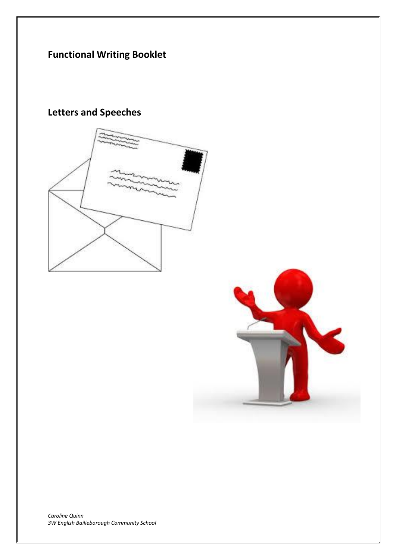# **Functional Writing Booklet**



**Letters and Speeches**

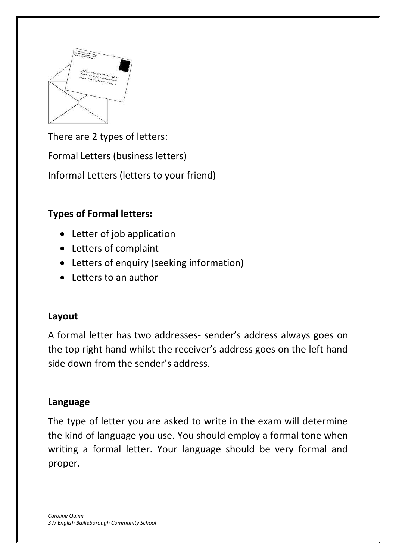

There are 2 types of letters:

Formal Letters (business letters)

Informal Letters (letters to your friend)

## **Types of Formal letters:**

- Letter of job application
- Letters of complaint
- Letters of enquiry (seeking information)
- Letters to an author

## **Layout**

A formal letter has two addresses- sender's address always goes on the top right hand whilst the receiver's address goes on the left hand side down from the sender's address.

### **Language**

The type of letter you are asked to write in the exam will determine the kind of language you use. You should employ a formal tone when writing a formal letter. Your language should be very formal and proper.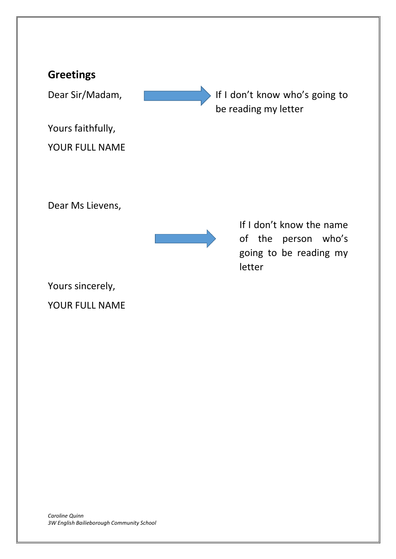## **Greetings**

Dear Sir/Madam, **If I don't know who's going to** 

Yours faithfully,

YOUR FULL NAME

Dear Ms Lievens,



If I don't know the name of the person who's going to be reading my letter

be reading my letter

Yours sincerely,

YOUR FULL NAME

*Caroline Quinn 3W English Bailieborough Community School*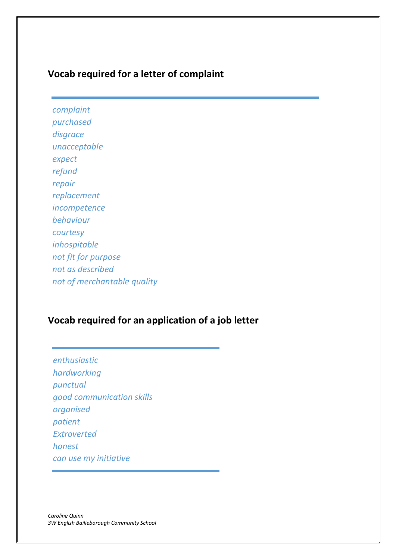### **Vocab required for a letter of complaint**

*complaint purchased disgrace unacceptable expect refund repair replacement incompetence behaviour courtesy inhospitable not fit for purpose not as described not of merchantable quality*

#### **Vocab required for an application of a job letter**

*enthusiastic hardworking punctual good communication skills organised patient Extroverted honest can use my initiative*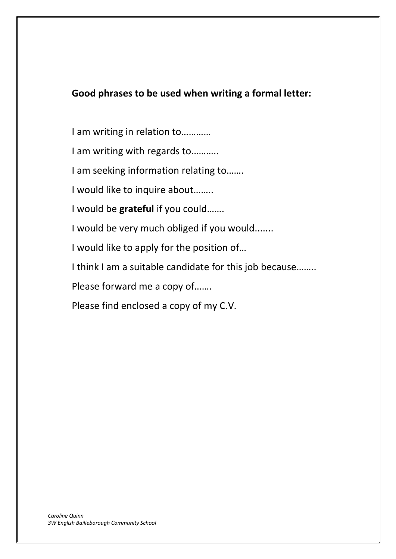### **Good phrases to be used when writing a formal letter:**

I am writing in relation to…………

I am writing with regards to………..

I am seeking information relating to…….

I would like to inquire about……..

I would be **grateful** if you could…….

I would be very much obliged if you would.......

I would like to apply for the position of…

I think I am a suitable candidate for this job because……..

Please forward me a copy of…….

Please find enclosed a copy of my C.V.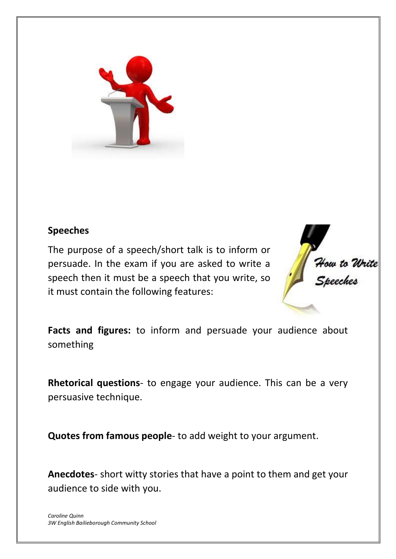

### **Speeches**

The purpose of a speech/short talk is to inform or persuade. In the exam if you are asked to write a speech then it must be a speech that you write, so it must contain the following features:



**Facts and figures:** to inform and persuade your audience about something

**Rhetorical questions**- to engage your audience. This can be a very persuasive technique.

**Quotes from famous people**- to add weight to your argument.

**Anecdotes**- short witty stories that have a point to them and get your audience to side with you.

*Caroline Quinn 3W English Bailieborough Community School*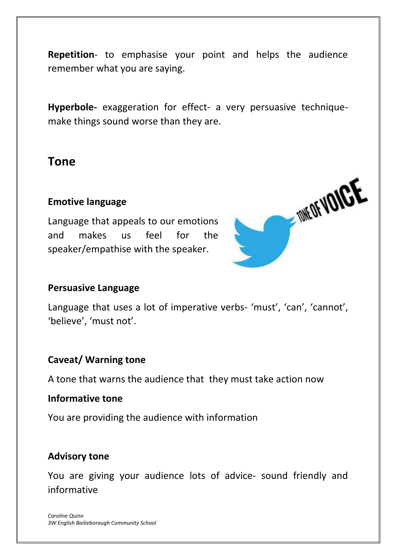**Repetition**- to emphasise your point and helps the audience remember what you are saying.

**Hyperbole-** exaggeration for effect- a very persuasive techniquemake things sound worse than they are.

## **Tone**

#### **Emotive language**

Language that appeals to our emotions and makes us feel for the speaker/empathise with the speaker.



#### **Persuasive Language**

Language that uses a lot of imperative verbs- 'must', 'can', 'cannot', 'believe', 'must not'.

#### **Caveat/ Warning tone**

A tone that warns the audience that they must take action now

#### **Informative tone**

You are providing the audience with information

### **Advisory tone**

You are giving your audience lots of advice- sound friendly and informative

*Caroline Quinn 3W English Bailieborough Community School*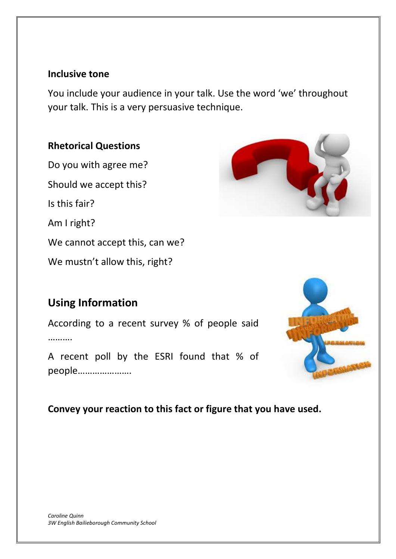#### **Inclusive tone**

You include your audience in your talk. Use the word 'we' throughout your talk. This is a very persuasive technique.

## **Rhetorical Questions**

Do you with agree me? Should we accept this? Is this fair? Am I right? We cannot accept this, can we? We mustn't allow this, right?

# **Using Information**

According to a recent survey % of people said …………

A recent poll by the ESRI found that % of people………………….

## **Convey your reaction to this fact or figure that you have used.**